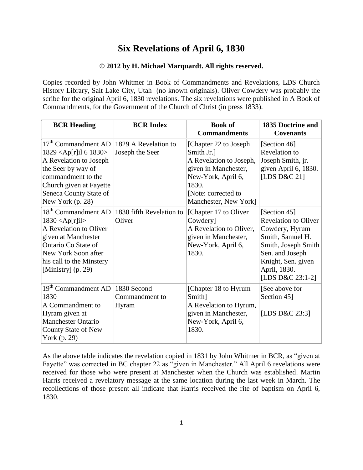## **Six Revelations of April 6, 1830**

## **© 2012 by H. Michael Marquardt. All rights reserved.**

Copies recorded by John Whitmer in Book of Commandments and Revelations, LDS Church History Library, Salt Lake City, Utah (no known originals). Oliver Cowdery was probably the scribe for the original April 6, 1830 revelations. The six revelations were published in A Book of Commandments, for the Government of the Church of Christ (in press 1833).

| <b>BCR Heading</b>                                                                                                                                                                                                                           | <b>BCR Index</b>                        | <b>Book of</b><br><b>Commandments</b>                                                                                                                                  | 1835 Doctrine and<br><b>Covenants</b>                                                                                                                                                 |
|----------------------------------------------------------------------------------------------------------------------------------------------------------------------------------------------------------------------------------------------|-----------------------------------------|------------------------------------------------------------------------------------------------------------------------------------------------------------------------|---------------------------------------------------------------------------------------------------------------------------------------------------------------------------------------|
| 17 <sup>th</sup> Commandment AD<br>$1829$ <ap[r]il 1830="" 6=""><br/>A Revelation to Joseph<br/>the Seer by way of<br/>commandment to the<br/>Church given at Fayette<br/>Seneca County State of<br/>New York <math>(p. 28)</math></ap[r]il> | 1829 A Revelation to<br>Joseph the Seer | [Chapter 22 to Joseph]<br>Smith Jr.]<br>A Revelation to Joseph,<br>given in Manchester,<br>New-York, April 6,<br>1830.<br>[Note: corrected to<br>Manchester, New York] | [Section 46]<br>Revelation to<br>Joseph Smith, jr.<br>given April 6, 1830.<br>[LDS D&C 21]                                                                                            |
| 18 <sup>th</sup> Commandment AD<br>$1830 <$ Ap[r]il><br>A Revelation to Oliver<br>given at Manchester<br>Ontario Co State of<br>New York Soon after<br>his call to the Minstery<br>[Ministry] $(p. 29)$                                      | 1830 fifth Revelation to<br>Oliver      | [Chapter 17 to Oliver]<br>Cowdery]<br>A Revelation to Oliver,<br>given in Manchester,<br>New-York, April 6,<br>1830.                                                   | [Section 45]<br><b>Revelation to Oliver</b><br>Cowdery, Hyrum<br>Smith, Samuel H.<br>Smith, Joseph Smith<br>Sen. and Joseph<br>Knight, Sen. given<br>April, 1830.<br>[LDS D&C 23:1-2] |
| 19 <sup>th</sup> Commandment AD<br>1830<br>A Commandment to<br>Hyram given at<br><b>Manchester Ontario</b><br>County State of New<br>York (p. 29)                                                                                            | 1830 Second<br>Commandment to<br>Hyram  | [Chapter 18 to Hyrum]<br>Smith]<br>A Revelation to Hyrum,<br>given in Manchester,<br>New-York, April 6,<br>1830.                                                       | [See above for<br>Section 45]<br>[LDS D&C 23:3]                                                                                                                                       |

As the above table indicates the revelation copied in 1831 by John Whitmer in BCR, as "given at Fayette" was corrected in BC chapter 22 as "given in Manchester." All April 6 revelations were received for those who were present at Manchester when the Church was established. Martin Harris received a revelatory message at the same location during the last week in March. The recollections of those present all indicate that Harris received the rite of baptism on April 6, 1830.